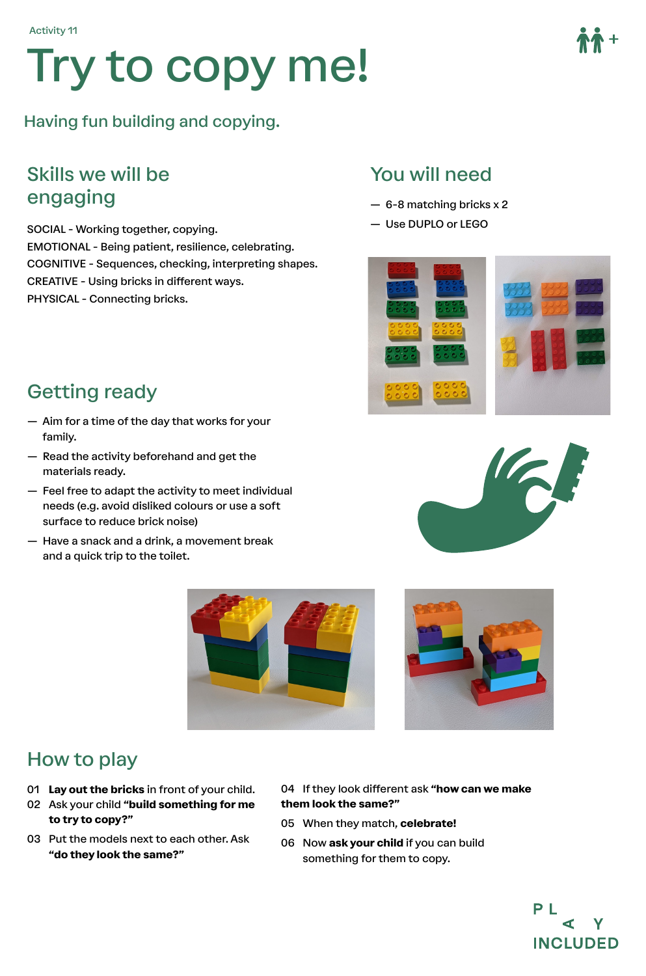# Try to copy me!

Having fun building and copying.

#### Skills we will be engaging

SOCIAL - Working together, copying. EMOTIONAL - Being patient, resilience, celebrating. COGNITIVE - Sequences, checking, interpreting shapes. CREATIVE - Using bricks in different ways. PHYSICAL - Connecting bricks.

#### You will need

- 6-8 matching bricks x 2
- Use DUPLO or LEGO





- Aim for a time of the day that works for your family.
- Read the activity beforehand and get the materials ready.
- Feel free to adapt the activity to meet individual needs (e.g. avoid disliked colours or use a soft surface to reduce brick noise)
- Have a snack and a drink, a movement break and a quick trip to the toilet.







#### How to play

- 01 **Lay out the bricks** in front of your child.
- 02 Ask your child **"build something for me to try to copy?"**
- 03 Put the models next to each other. Ask **"do they look the same?"**
- 04 If they look different ask **"how can we make them look the same?"**
- 05 When they match, **celebrate!**
- 06 Now **ask your child** if you can build something for them to copy.

**PL**  $\blacktriangleleft$ V **INCLUDED**